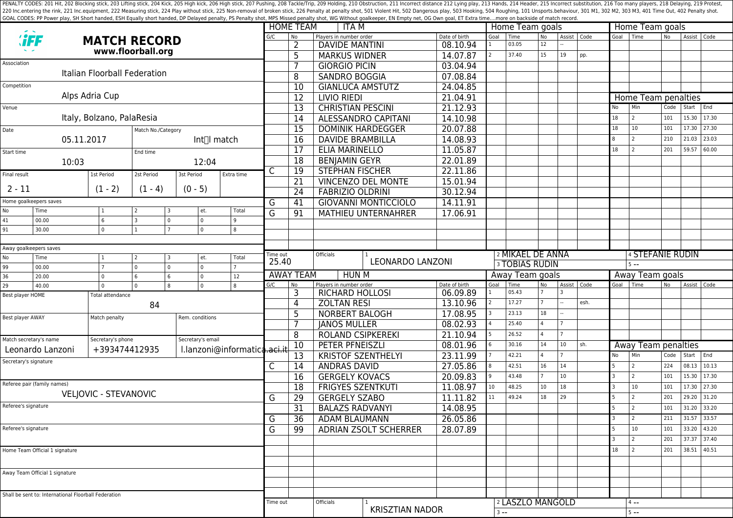PENALTY CODES: 201 Hit, 202 Blocking stick, 203 Lifting stick, 204 Kick, 204 Kick, 205 High kick, 204 Kick, 205 High kick, 206 High stick, 206 High stick, 206 High stick, 206 High stick, 207 Pushing, 208 Tackle/Trip, 209 H 220 Inc.entering the rink, 221 Inc.equipment, 222 Measuring stick, 224 Play without stick, 225 Non-removal of broken stick, 225 Poralty shot, 501 Violent Hit, 502 Dangerous play, 503 Hooking, 504 Roughing, 101 Unsports.beh GOAL CODES: PP Power play, SH Short handed, ESH Equally short handed, DP Delayed penalty, PS Penalty shot, MPS Missed penalty shot, WG Without goalkeeper, EN Empty net, OG Own goal, ET Extra time....more on backside of mat

|                                            |                                                                                 |                                |                    |                               |                              |          | <b>HOME TEAM</b><br>ITA M |                                                     |                             |                      |                       | Home Team goals             |           |               | Home Team goals |                         |                     |                |             |       |  |
|--------------------------------------------|---------------------------------------------------------------------------------|--------------------------------|--------------------|-------------------------------|------------------------------|----------|---------------------------|-----------------------------------------------------|-----------------------------|----------------------|-----------------------|-----------------------------|-----------|---------------|-----------------|-------------------------|---------------------|----------------|-------------|-------|--|
|                                            | <b>HFF</b>                                                                      |                                |                    |                               |                              | G/C      | l No                      | Players in number order                             |                             | Date of birth        | Goal                  | Time                        | <b>No</b> | Assist   Code |                 | Goal                    | l Time              | N <sub>o</sub> | Assist Code |       |  |
| <b>MATCH RECORD</b><br>www.floorball.org   |                                                                                 |                                |                    |                               |                              | 2        | <b>DAVIDE MANTINI</b>     |                                                     | 08.10.94                    |                      | 03.05                 | 12                          |           |               |                 |                         |                     |                |             |       |  |
| Association                                |                                                                                 |                                |                    |                               |                              |          | 5                         | <b>MARKUS WIDNER</b>                                |                             | 14.07.87             | $\overline{2}$        | 37.40                       | 15        | 19            | pp.             |                         |                     |                |             |       |  |
|                                            |                                                                                 | Italian Floorball Federation   |                    |                               |                              |          | 7                         | <b>GIORGIO PICIN</b>                                |                             | 03.04.94             |                       |                             |           |               |                 |                         |                     |                |             |       |  |
|                                            |                                                                                 |                                |                    |                               |                              |          | 8                         | <b>SANDRO BOGGIA</b>                                |                             | 07.08.84             |                       |                             |           |               |                 |                         |                     |                |             |       |  |
| Competition                                |                                                                                 |                                |                    |                               |                              |          | 10                        | <b>GIANLUCA AMSTUTZ</b>                             |                             | 24.04.85             |                       |                             |           |               |                 |                         |                     |                |             |       |  |
|                                            |                                                                                 | Alps Adria Cup                 |                    |                               |                              |          | 12                        | LIVIO RIEDI                                         |                             | 21.04.91             |                       |                             |           |               |                 |                         | Home Team penalties |                |             |       |  |
| Venue                                      |                                                                                 |                                |                    |                               |                              |          | 13                        | <b>CHRISTIAN PESCINI</b>                            |                             | 21.12.93             |                       |                             |           |               |                 | <b>No</b>               | Min                 | Code           | Start       | End   |  |
|                                            |                                                                                 | Italy, Bolzano, PalaResia      |                    |                               |                              |          | $\overline{14}$           |                                                     | <b>ALESSANDRO CAPITANI</b>  | 14.10.98             |                       |                             |           |               |                 | 18                      | 2                   | 101            | 15.30       | 17.30 |  |
| Date                                       |                                                                                 |                                | Match No./Category |                               |                              |          | $\overline{15}$           |                                                     | <b>DOMINIK HARDEGGER</b>    | 20.07.88             |                       |                             |           |               |                 | 18                      | 10                  | 101            | 17.30       | 27.30 |  |
|                                            | 05.11.2017                                                                      |                                |                    |                               | Int∏l match                  |          | 16                        | <b>DAVIDE BRAMBILLA</b>                             | 14.08.93                    |                      |                       |                             |           |               | 8               | 2                       | 210                 | 21.03          | 23.03       |       |  |
| Start time                                 |                                                                                 |                                | End time           |                               |                              |          | 17                        | ELIA MARINELLO                                      |                             | 11.05.87             |                       |                             |           |               |                 | 18                      | $\overline{2}$      | 201            | 59.57       | 60.00 |  |
| 10:03                                      |                                                                                 |                                | 12:04              |                               |                              | 18       | <b>BENJAMIN GEYR</b>      |                                                     | 22.01.89                    |                      |                       |                             |           |               |                 |                         |                     |                |             |       |  |
| Final result                               |                                                                                 | 1st Period                     | 2st Period         | 3st Period                    | Extra time                   | C        | 19                        | <b>STEPHAN FISCHER</b><br><b>VINCENZO DEL MONTE</b> |                             | 22.11.86<br>15.01.94 |                       |                             |           |               |                 |                         |                     |                |             |       |  |
|                                            |                                                                                 |                                |                    |                               |                              |          | 21                        |                                                     |                             |                      |                       |                             |           |               |                 |                         |                     |                |             |       |  |
| $2 - 11$                                   |                                                                                 | $(1 - 2)$                      | $(1 - 4)$          | $(0 - 5)$                     |                              |          | 24                        | <b>FABRIZIO OLDRINI</b>                             |                             | 30.12.94             |                       |                             |           |               |                 |                         |                     |                |             |       |  |
| Home goalkeepers saves                     |                                                                                 |                                |                    |                               |                              | G        | 41                        |                                                     | <b>GIOVANNI MONTICCIOLO</b> | 14.11.91             |                       |                             |           |               |                 |                         |                     |                |             |       |  |
| No                                         | Time                                                                            |                                |                    | et.                           | Total                        | G        | 91                        |                                                     | <b>MATHIEU UNTERNAHRER</b>  | 17.06.91             |                       |                             |           |               |                 |                         |                     |                |             |       |  |
| 41                                         | 00.00                                                                           | 6                              | <sup>3</sup>       | $\overline{0}$<br>$\mathbf 0$ | q                            |          |                           |                                                     |                             |                      |                       |                             |           |               |                 |                         |                     |                |             |       |  |
| 91                                         | 30.00                                                                           | $\mathbf{0}$                   |                    | $\circ$                       | 8                            |          |                           |                                                     |                             |                      |                       |                             |           |               |                 |                         |                     |                |             |       |  |
|                                            |                                                                                 |                                |                    |                               |                              |          |                           |                                                     |                             |                      |                       |                             |           |               |                 |                         |                     |                |             |       |  |
| No                                         | Away goalkeepers saves<br>Total<br>Time<br>$\overline{\phantom{0}}$<br>et.<br>3 |                                |                    |                               |                              |          | Time out                  | Officials                                           |                             |                      |                       | 2 MIKAEL DE ANNA            |           |               |                 |                         | 4 STEFANIE RUDIN    |                |             |       |  |
|                                            | 00.00                                                                           | $\mathbf{0}$<br>۱o<br>$\Omega$ |                    |                               |                              | 25.40    |                           |                                                     | <b>LEONARDO LANZONI</b>     |                      | <b>3 TOBIAS RUDIN</b> |                             |           |               |                 | $5 - -$                 |                     |                |             |       |  |
|                                            |                                                                                 |                                |                    |                               |                              |          |                           |                                                     |                             |                      | Away Team goals       |                             |           |               |                 | Away Team goals         |                     |                |             |       |  |
| 99<br>36                                   | 20.00                                                                           | $\Omega$                       | 6                  | $\overline{0}$<br>6           | 12                           |          | <b>AWAY TEAM</b>          | <b>HUN M</b>                                        |                             |                      |                       |                             |           |               |                 |                         |                     |                |             |       |  |
| 29                                         | 40.00                                                                           | $\Omega$                       | 0                  | $\overline{0}$<br>8           | 8                            | G/C      | N <sub>o</sub>            | Players in number order                             |                             | Date of birth        | Goal                  | Time                        | No        | Assist   Code |                 | Goal                    | Time                | No             | Assist Code |       |  |
|                                            |                                                                                 | Total attendance               |                    |                               |                              |          | 3                         | <b>RICHARD HOLLOSI</b>                              |                             | 06.09.89             |                       | 05.43                       |           |               |                 |                         |                     |                |             |       |  |
| Best player HOME                           |                                                                                 |                                | 84                 |                               |                              |          | 4                         | <b>ZOLTAN RESI</b>                                  |                             | 13.10.96             |                       | 17.27                       |           |               | esh.            |                         |                     |                |             |       |  |
| Best player AWAY                           |                                                                                 | Match penalty                  |                    | Rem. conditions               |                              |          | 5                         | <b>NORBERT BALOGH</b>                               |                             | 17.08.95             |                       | 23.13                       | 18        |               |                 |                         |                     |                |             |       |  |
|                                            |                                                                                 |                                |                    |                               |                              |          | 7                         | <b>JANOS MULLER</b>                                 |                             | 08.02.93             |                       | 25.40                       | 4         |               |                 |                         |                     |                |             |       |  |
|                                            |                                                                                 |                                |                    |                               |                              |          | 8                         | <b>ROLAND CSIPKEREKI</b>                            |                             | 21.10.94             |                       | 26.52                       | 4         |               |                 |                         |                     |                |             |       |  |
|                                            | Match secretary's name                                                          | Secretary's phone              |                    | Secretary's email             |                              |          | 10                        | PETER PFNEISZLI                                     |                             | 08.01.96             |                       | 30.16                       | 14        | 10            | sh.             |                         | Away Team penalties |                |             |       |  |
|                                            | Leonardo Lanzoni                                                                | +393474412935                  |                    |                               | I.lanzoni@informatica.aci.it |          | 13                        | <b>KRISTOF SZENTHELYI</b>                           |                             | 23.11.99             |                       | 42.21                       | 4         |               |                 | <b>No</b>               | Min                 | Code           | Start End   |       |  |
|                                            | Secretary's signature                                                           |                                |                    |                               |                              | C        | 14                        | <b>ANDRAS DAVID</b>                                 |                             | 27.05.86             |                       | 42.51                       | 16        | 14            |                 |                         | 2                   | 224            | 08.13       | 10.13 |  |
|                                            |                                                                                 |                                |                    |                               |                              |          | $\overline{16}$           | <b>GERGELY KOVACS</b>                               |                             | 20.09.83             | 9                     | 43.48                       |           | 10            |                 |                         | 2                   | 101            | 15.30       | 17.30 |  |
|                                            | Referee pair (family names)                                                     |                                |                    |                               |                              |          | 18                        | <b>FRIGYES SZENTKUTI</b>                            |                             | 11.08.97             | 10                    | 48.25                       | 10        | 18            |                 |                         | 10                  | 101            | 17.30       | 27.30 |  |
|                                            |                                                                                 | VELIOVIC - STEVANOVIC          |                    |                               |                              | G        | 29                        | <b>GERGELY SZABO</b>                                |                             | 11.11.82             | 11                    | 49.24                       | 18        | 29            |                 |                         | $\overline{z}$      | 201            | 29.20       | 31.20 |  |
|                                            |                                                                                 |                                |                    |                               |                              |          | $\overline{31}$           | <b>BALAZS RADVANYI</b>                              |                             | 14.08.95             |                       |                             |           |               |                 |                         | $\overline{z}$      | 101            | 31.20       | 33.20 |  |
|                                            |                                                                                 |                                |                    |                               |                              | G        | -36                       | <b>ADAM BLAUMANN</b>                                |                             | 26.05.86             |                       |                             |           |               |                 | 3                       | l 2                 | 211            | 31.57 33.57 |       |  |
|                                            |                                                                                 |                                |                    |                               |                              | G        | 99                        |                                                     | ADRIAN ZSOLT SCHERRER       | 28.07.89             |                       |                             |           |               |                 | 5                       | 10                  | 101            | 33.20 43.20 |       |  |
|                                            |                                                                                 |                                |                    |                               |                              |          |                           |                                                     |                             |                      |                       |                             |           |               |                 | $\overline{\mathbf{3}}$ | 2                   | 201            | 37.37       | 37.40 |  |
|                                            | Home Team Official 1 signature                                                  |                                |                    |                               |                              |          |                           |                                                     |                             |                      |                       |                             |           |               |                 | 18                      | 2                   | 201            | 38.51 40.51 |       |  |
|                                            |                                                                                 |                                |                    |                               |                              |          |                           |                                                     |                             |                      |                       |                             |           |               |                 |                         |                     |                |             |       |  |
|                                            |                                                                                 |                                |                    |                               |                              |          |                           |                                                     |                             |                      |                       |                             |           |               |                 |                         |                     |                |             |       |  |
|                                            | Away Team Official 1 signature                                                  |                                |                    |                               |                              |          |                           |                                                     |                             |                      |                       |                             |           |               |                 |                         |                     |                |             |       |  |
| Referee's signature<br>Referee's signature |                                                                                 |                                |                    |                               |                              |          |                           |                                                     |                             |                      |                       |                             |           |               |                 |                         |                     |                |             |       |  |
|                                            | Shall be sent to: International Floorball Federation                            |                                |                    |                               |                              | Time out |                           | Officials                                           | <b>KRISZTIAN NADOR</b>      |                      |                       | <sup>2</sup> LASZLO MANGOLD |           |               |                 |                         | $4 - -$             |                |             |       |  |